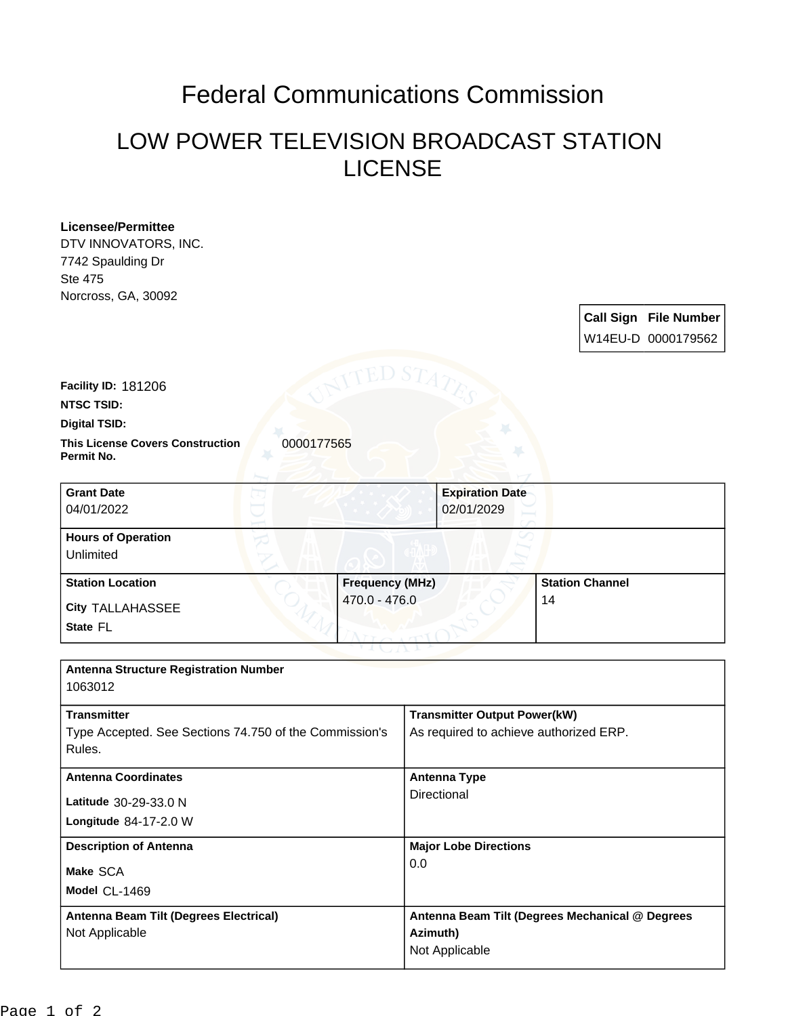## Federal Communications Commission

## LOW POWER TELEVISION BROADCAST STATION LICENSE

| <b>Licensee/Permittee</b><br>DTV INNOVATORS, INC.<br>7742 Spaulding Dr<br><b>Ste 475</b><br>Norcross, GA, 30092 |                                                                               |
|-----------------------------------------------------------------------------------------------------------------|-------------------------------------------------------------------------------|
|                                                                                                                 | <b>Call Sign File Number</b><br>W14EU-D 0000179562                            |
| Facility ID: 181206<br><b>NTSC TSID:</b>                                                                        |                                                                               |
| <b>Digital TSID:</b>                                                                                            |                                                                               |
| <b>This License Covers Construction</b><br>0000177565<br>Permit No.                                             |                                                                               |
| <b>Grant Date</b><br>04/01/2022                                                                                 | <b>Expiration Date</b><br>02/01/2029                                          |
| <b>Hours of Operation</b><br>Unlimited                                                                          |                                                                               |
| <b>Station Location</b>                                                                                         | <b>Frequency (MHz)</b><br><b>Station Channel</b>                              |
| <b>City TALLAHASSEE</b>                                                                                         | 470.0 - 476.0<br>14                                                           |
| State FL                                                                                                        |                                                                               |
| <b>Antenna Structure Registration Number</b><br>1063012                                                         |                                                                               |
| <b>Transmitter</b><br>Type Accepted. See Sections 74.750 of the Commission's<br>Rules.                          | <b>Transmitter Output Power(kW)</b><br>As required to achieve authorized ERP. |
| <b>Antenna Coordinates</b>                                                                                      | <b>Antenna Type</b>                                                           |
| Latitude 30-29-33.0 N                                                                                           | Directional                                                                   |
| Longitude 84-17-2.0 W                                                                                           |                                                                               |
| <b>Description of Antenna</b>                                                                                   | <b>Major Lobe Directions</b>                                                  |
| Make SCA                                                                                                        | 0.0                                                                           |
| Model CL-1469                                                                                                   |                                                                               |
| <b>Antenna Beam Tilt (Degrees Electrical)</b>                                                                   | Antenna Beam Tilt (Degrees Mechanical @ Degrees                               |
| Not Applicable                                                                                                  | Azimuth)<br>Not Applicable                                                    |